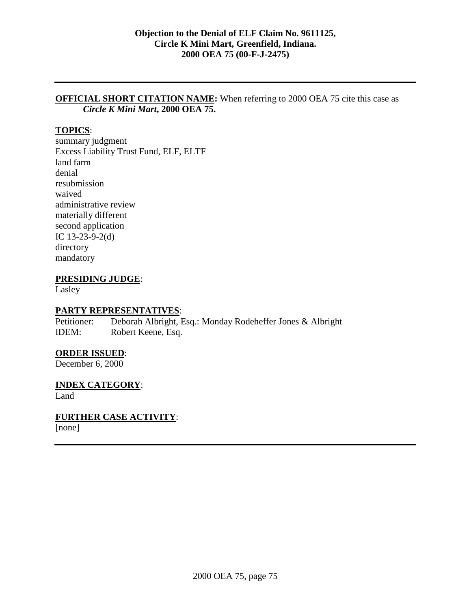## **OFFICIAL SHORT CITATION NAME:** When referring to 2000 OEA 75 cite this case as *Circle K Mini Mart***, 2000 OEA 75.**

# **TOPICS**:

summary judgment Excess Liability Trust Fund, ELF, ELTF land farm denial resubmission waived administrative review materially different second application IC 13-23-9-2(d) directory mandatory

### **PRESIDING JUDGE**:

Lasley

#### **PARTY REPRESENTATIVES**:

Petitioner: Deborah Albright, Esq.: Monday Rodeheffer Jones & Albright IDEM: Robert Keene, Esq.

#### **ORDER ISSUED**:

December 6, 2000

#### **INDEX CATEGORY**:

Land

### **FURTHER CASE ACTIVITY**:

[none]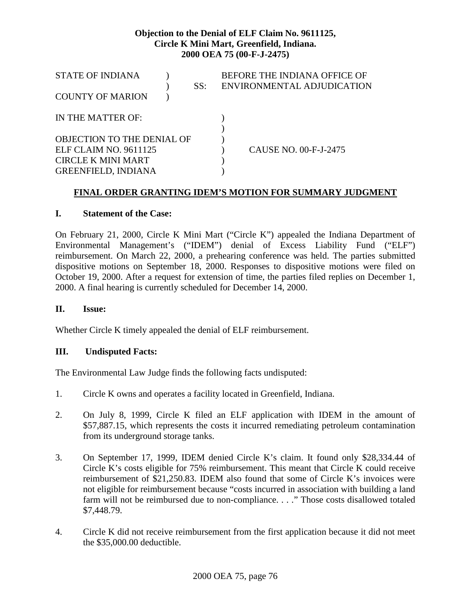| <b>STATE OF INDIANA</b>           |  | SS: | BEFORE THE INDIANA OFFICE OF<br>ENVIRONMENTAL ADJUDICATION |
|-----------------------------------|--|-----|------------------------------------------------------------|
| <b>COUNTY OF MARION</b>           |  |     |                                                            |
| IN THE MATTER OF:                 |  |     |                                                            |
|                                   |  |     |                                                            |
| <b>OBJECTION TO THE DENIAL OF</b> |  |     |                                                            |
| ELF CLAIM NO. 9611125             |  |     | CAUSE NO. 00-F-J-2475                                      |
| <b>CIRCLE K MINI MART</b>         |  |     |                                                            |
| <b>GREENFIELD, INDIANA</b>        |  |     |                                                            |

# **FINAL ORDER GRANTING IDEM'S MOTION FOR SUMMARY JUDGMENT**

### **I. Statement of the Case:**

On February 21, 2000, Circle K Mini Mart ("Circle K") appealed the Indiana Department of Environmental Management's ("IDEM") denial of Excess Liability Fund ("ELF") reimbursement. On March 22, 2000, a prehearing conference was held. The parties submitted dispositive motions on September 18, 2000. Responses to dispositive motions were filed on October 19, 2000. After a request for extension of time, the parties filed replies on December 1, 2000. A final hearing is currently scheduled for December 14, 2000.

### **II. Issue:**

Whether Circle K timely appealed the denial of ELF reimbursement.

### **III. Undisputed Facts:**

The Environmental Law Judge finds the following facts undisputed:

- 1. Circle K owns and operates a facility located in Greenfield, Indiana.
- 2. On July 8, 1999, Circle K filed an ELF application with IDEM in the amount of \$57,887.15, which represents the costs it incurred remediating petroleum contamination from its underground storage tanks.
- 3. On September 17, 1999, IDEM denied Circle K's claim. It found only \$28,334.44 of Circle K's costs eligible for 75% reimbursement. This meant that Circle K could receive reimbursement of \$21,250.83. IDEM also found that some of Circle K's invoices were not eligible for reimbursement because "costs incurred in association with building a land farm will not be reimbursed due to non-compliance. . . ." Those costs disallowed totaled \$7,448.79.
- 4. Circle K did not receive reimbursement from the first application because it did not meet the \$35,000.00 deductible.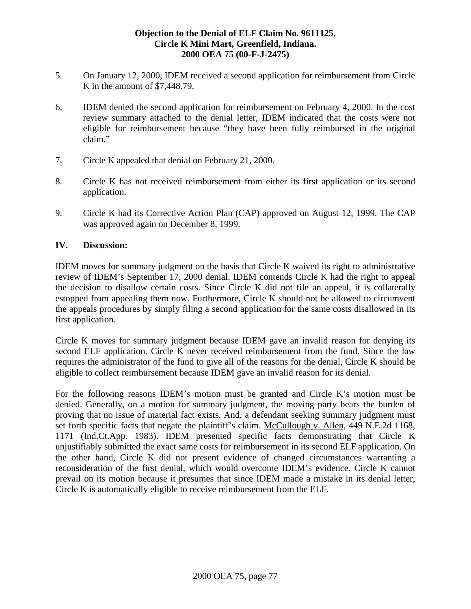- 5. On January 12, 2000, IDEM received a second application for reimbursement from Circle K in the amount of \$7,448.79.
- 6. IDEM denied the second application for reimbursement on February 4, 2000. In the cost review summary attached to the denial letter, IDEM indicated that the costs were not eligible for reimbursement because "they have been fully reimbursed in the original claim."
- 7. Circle K appealed that denial on February 21, 2000.
- 8. Circle K has not received reimbursement from either its first application or its second application.
- 9. Circle K had its Corrective Action Plan (CAP) approved on August 12, 1999. The CAP was approved again on December 8, 1999.

### **IV. Discussion:**

IDEM moves for summary judgment on the basis that Circle K waived its right to administrative review of IDEM's September 17, 2000 denial. IDEM contends Circle K had the right to appeal the decision to disallow certain costs. Since Circle K did not file an appeal, it is collaterally estopped from appealing them now. Furthermore, Circle K should not be allowed to circumvent the appeals procedures by simply filing a second application for the same costs disallowed in its first application.

Circle K moves for summary judgment because IDEM gave an invalid reason for denying its second ELF application. Circle K never received reimbursement from the fund. Since the law requires the administrator of the fund to give all of the reasons for the denial, Circle K should be eligible to collect reimbursement because IDEM gave an invalid reason for its denial.

For the following reasons IDEM's motion must be granted and Circle K's motion must be denied. Generally, on a motion for summary judgment, the moving party bears the burden of proving that no issue of material fact exists. And, a defendant seeking summary judgment must set forth specific facts that negate the plaintiff's claim. McCullough v. Allen, 449 N.E.2d 1168, 1171 (Ind.Ct.App. 1983). IDEM presented specific facts demonstrating that Circle K unjustifiably submitted the exact same costs for reimbursement in its second ELF application. On the other hand, Circle K did not present evidence of changed circumstances warranting a reconsideration of the first denial, which would overcome IDEM's evidence. Circle K cannot prevail on its motion because it presumes that since IDEM made a mistake in its denial letter, Circle K is automatically eligible to receive reimbursement from the ELF.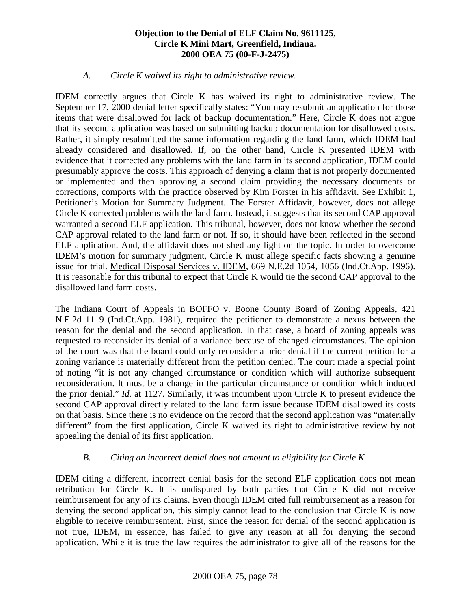### *A. Circle K waived its right to administrative review.*

IDEM correctly argues that Circle K has waived its right to administrative review. The September 17, 2000 denial letter specifically states: "You may resubmit an application for those items that were disallowed for lack of backup documentation." Here, Circle K does not argue that its second application was based on submitting backup documentation for disallowed costs. Rather, it simply resubmitted the same information regarding the land farm, which IDEM had already considered and disallowed. If, on the other hand, Circle K presented IDEM with evidence that it corrected any problems with the land farm in its second application, IDEM could presumably approve the costs. This approach of denying a claim that is not properly documented or implemented and then approving a second claim providing the necessary documents or corrections, comports with the practice observed by Kim Forster in his affidavit. See Exhibit 1, Petitioner's Motion for Summary Judgment. The Forster Affidavit, however, does not allege Circle K corrected problems with the land farm. Instead, it suggests that its second CAP approval warranted a second ELF application. This tribunal, however, does not know whether the second CAP approval related to the land farm or not. If so, it should have been reflected in the second ELF application. And, the affidavit does not shed any light on the topic. In order to overcome IDEM's motion for summary judgment, Circle K must allege specific facts showing a genuine issue for trial. Medical Disposal Services v. IDEM, 669 N.E.2d 1054, 1056 (Ind.Ct.App. 1996). It is reasonable for this tribunal to expect that Circle K would tie the second CAP approval to the disallowed land farm costs.

The Indiana Court of Appeals in BOFFO v. Boone County Board of Zoning Appeals, 421 N.E.2d 1119 (Ind.Ct.App. 1981), required the petitioner to demonstrate a nexus between the reason for the denial and the second application. In that case, a board of zoning appeals was requested to reconsider its denial of a variance because of changed circumstances. The opinion of the court was that the board could only reconsider a prior denial if the current petition for a zoning variance is materially different from the petition denied. The court made a special point of noting "it is not any changed circumstance or condition which will authorize subsequent reconsideration. It must be a change in the particular circumstance or condition which induced the prior denial." *Id.* at 1127. Similarly, it was incumbent upon Circle K to present evidence the second CAP approval directly related to the land farm issue because IDEM disallowed its costs on that basis. Since there is no evidence on the record that the second application was "materially different" from the first application, Circle K waived its right to administrative review by not appealing the denial of its first application.

### *B. Citing an incorrect denial does not amount to eligibility for Circle K*

IDEM citing a different, incorrect denial basis for the second ELF application does not mean retribution for Circle K. It is undisputed by both parties that Circle K did not receive reimbursement for any of its claims. Even though IDEM cited full reimbursement as a reason for denying the second application, this simply cannot lead to the conclusion that Circle K is now eligible to receive reimbursement. First, since the reason for denial of the second application is not true, IDEM, in essence, has failed to give any reason at all for denying the second application. While it is true the law requires the administrator to give all of the reasons for the